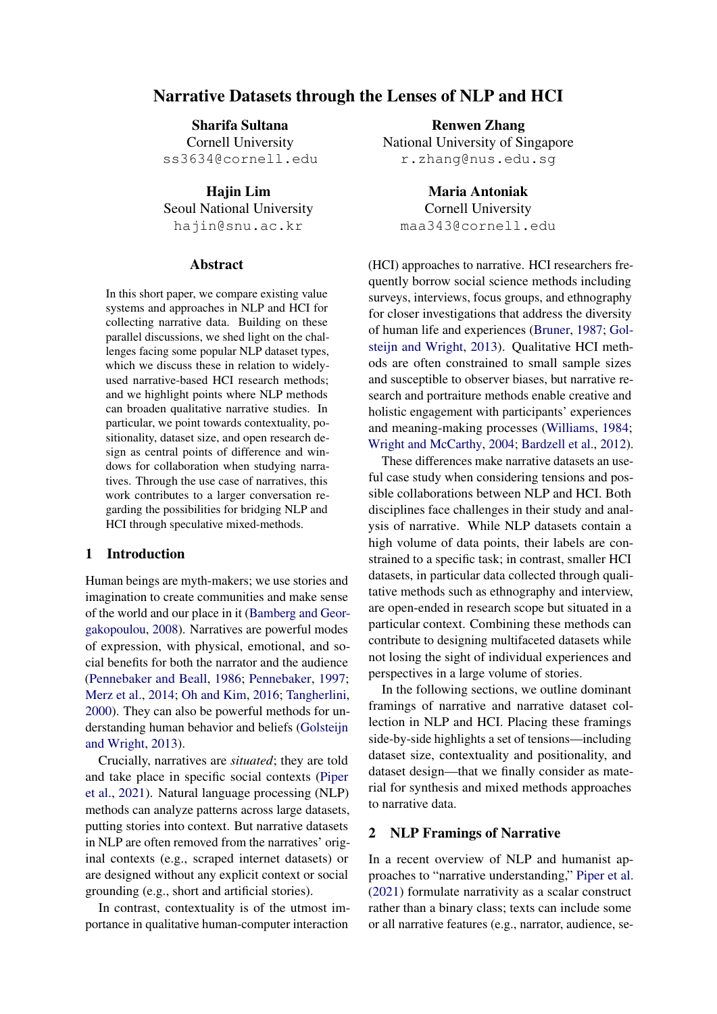# Narrative Datasets through the Lenses of NLP and HCI

Sharifa Sultana Cornell University ss3634@cornell.edu

Hajin Lim Seoul National University hajin@snu.ac.kr

#### Abstract

In this short paper, we compare existing value systems and approaches in NLP and HCI for collecting narrative data. Building on these parallel discussions, we shed light on the challenges facing some popular NLP dataset types, which we discuss these in relation to widelyused narrative-based HCI research methods; and we highlight points where NLP methods can broaden qualitative narrative studies. In particular, we point towards contextuality, positionality, dataset size, and open research design as central points of difference and windows for collaboration when studying narratives. Through the use case of narratives, this work contributes to a larger conversation regarding the possibilities for bridging NLP and HCI through speculative mixed-methods.

#### 1 Introduction

Human beings are myth-makers; we use stories and imagination to create communities and make sense of the world and our place in it [\(Bamberg and Geor](#page-4-0)[gakopoulou,](#page-4-0) [2008\)](#page-4-0). Narratives are powerful modes of expression, with physical, emotional, and social benefits for both the narrator and the audience [\(Pennebaker and Beall,](#page-6-0) [1986;](#page-6-0) [Pennebaker,](#page-6-1) [1997;](#page-6-1) [Merz et al.,](#page-6-2) [2014;](#page-6-2) [Oh and Kim,](#page-6-3) [2016;](#page-6-3) [Tangherlini,](#page-7-0) [2000\)](#page-7-0). They can also be powerful methods for understanding human behavior and beliefs [\(Golsteijn](#page-5-0) [and Wright,](#page-5-0) [2013\)](#page-5-0).

Crucially, narratives are *situated*; they are told and take place in specific social contexts [\(Piper](#page-6-4) [et al.,](#page-6-4) [2021\)](#page-6-4). Natural language processing (NLP) methods can analyze patterns across large datasets, putting stories into context. But narrative datasets in NLP are often removed from the narratives' original contexts (e.g., scraped internet datasets) or are designed without any explicit context or social grounding (e.g., short and artificial stories).

In contrast, contextuality is of the utmost importance in qualitative human-computer interaction

Renwen Zhang National University of Singapore r.zhang@nus.edu.sg

Maria Antoniak Cornell University maa343@cornell.edu

(HCI) approaches to narrative. HCI researchers frequently borrow social science methods including surveys, interviews, focus groups, and ethnography for closer investigations that address the diversity of human life and experiences [\(Bruner,](#page-5-1) [1987;](#page-5-1) [Gol](#page-5-0)[steijn and Wright,](#page-5-0) [2013\)](#page-5-0). Qualitative HCI methods are often constrained to small sample sizes and susceptible to observer biases, but narrative research and portraiture methods enable creative and holistic engagement with participants' experiences and meaning-making processes [\(Williams,](#page-7-1) [1984;](#page-7-1) [Wright and McCarthy,](#page-7-2) [2004;](#page-7-2) [Bardzell et al.,](#page-4-1) [2012\)](#page-4-1).

These differences make narrative datasets an useful case study when considering tensions and possible collaborations between NLP and HCI. Both disciplines face challenges in their study and analysis of narrative. While NLP datasets contain a high volume of data points, their labels are constrained to a specific task; in contrast, smaller HCI datasets, in particular data collected through qualitative methods such as ethnography and interview, are open-ended in research scope but situated in a particular context. Combining these methods can contribute to designing multifaceted datasets while not losing the sight of individual experiences and perspectives in a large volume of stories.

In the following sections, we outline dominant framings of narrative and narrative dataset collection in NLP and HCI. Placing these framings side-by-side highlights a set of tensions—including dataset size, contextuality and positionality, and dataset design—that we finally consider as material for synthesis and mixed methods approaches to narrative data.

#### 2 NLP Framings of Narrative

In a recent overview of NLP and humanist approaches to "narrative understanding," [Piper et al.](#page-6-4) [\(2021\)](#page-6-4) formulate narrativity as a scalar construct rather than a binary class; texts can include some or all narrative features (e.g., narrator, audience, se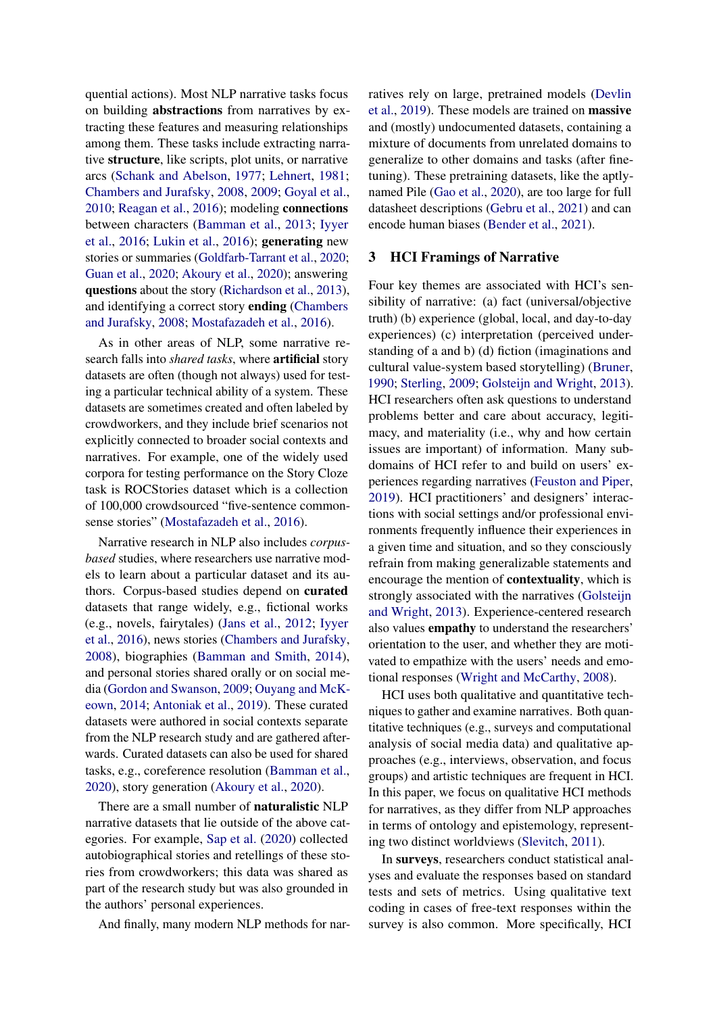quential actions). Most NLP narrative tasks focus on building abstractions from narratives by extracting these features and measuring relationships among them. These tasks include extracting narrative structure, like scripts, plot units, or narrative arcs [\(Schank and Abelson,](#page-6-5) [1977;](#page-6-5) [Lehnert,](#page-5-2) [1981;](#page-5-2) [Chambers and Jurafsky,](#page-5-3) [2008,](#page-5-3) [2009;](#page-5-4) [Goyal et al.,](#page-5-5) [2010;](#page-5-5) [Reagan et al.,](#page-6-6) [2016\)](#page-6-6); modeling connections between characters [\(Bamman et al.,](#page-4-2) [2013;](#page-4-2) [Iyyer](#page-5-6) [et al.,](#page-5-6) [2016;](#page-5-6) [Lukin et al.,](#page-6-7) [2016\)](#page-6-7); generating new stories or summaries [\(Goldfarb-Tarrant et al.,](#page-5-7) [2020;](#page-5-7) [Guan et al.,](#page-5-8) [2020;](#page-5-8) [Akoury et al.,](#page-4-3) [2020\)](#page-4-3); answering questions about the story [\(Richardson et al.,](#page-6-8) [2013\)](#page-6-8), and identifying a correct story ending [\(Chambers](#page-5-3) [and Jurafsky,](#page-5-3) [2008;](#page-5-3) [Mostafazadeh et al.,](#page-6-9) [2016\)](#page-6-9).

As in other areas of NLP, some narrative research falls into *shared tasks*, where artificial story datasets are often (though not always) used for testing a particular technical ability of a system. These datasets are sometimes created and often labeled by crowdworkers, and they include brief scenarios not explicitly connected to broader social contexts and narratives. For example, one of the widely used corpora for testing performance on the Story Cloze task is ROCStories dataset which is a collection of 100,000 crowdsourced "five-sentence commonsense stories" [\(Mostafazadeh et al.,](#page-6-9) [2016\)](#page-6-9).

Narrative research in NLP also includes *corpusbased* studies, where researchers use narrative models to learn about a particular dataset and its authors. Corpus-based studies depend on curated datasets that range widely, e.g., fictional works (e.g., novels, fairytales) [\(Jans et al.,](#page-5-9) [2012;](#page-5-9) [Iyyer](#page-5-6) [et al.,](#page-5-6) [2016\)](#page-5-6), news stories [\(Chambers and Jurafsky,](#page-5-3) [2008\)](#page-5-3), biographies [\(Bamman and Smith,](#page-4-4) [2014\)](#page-4-4), and personal stories shared orally or on social media [\(Gordon and Swanson,](#page-5-10) [2009;](#page-5-10) [Ouyang and McK](#page-6-10)[eown,](#page-6-10) [2014;](#page-6-10) [Antoniak et al.,](#page-4-5) [2019\)](#page-4-5). These curated datasets were authored in social contexts separate from the NLP research study and are gathered afterwards. Curated datasets can also be used for shared tasks, e.g., coreference resolution [\(Bamman et al.,](#page-4-6) [2020\)](#page-4-6), story generation [\(Akoury et al.,](#page-4-3) [2020\)](#page-4-3).

There are a small number of naturalistic NLP narrative datasets that lie outside of the above categories. For example, [Sap et al.](#page-6-11) [\(2020\)](#page-6-11) collected autobiographical stories and retellings of these stories from crowdworkers; this data was shared as part of the research study but was also grounded in the authors' personal experiences.

And finally, many modern NLP methods for nar-

ratives rely on large, pretrained models [\(Devlin](#page-5-11) [et al.,](#page-5-11) [2019\)](#page-5-11). These models are trained on massive and (mostly) undocumented datasets, containing a mixture of documents from unrelated domains to generalize to other domains and tasks (after finetuning). These pretraining datasets, like the aptlynamed Pile [\(Gao et al.,](#page-5-12) [2020\)](#page-5-12), are too large for full datasheet descriptions [\(Gebru et al.,](#page-5-13) [2021\)](#page-5-13) and can encode human biases [\(Bender et al.,](#page-4-7) [2021\)](#page-4-7).

### 3 HCI Framings of Narrative

Four key themes are associated with HCI's sensibility of narrative: (a) fact (universal/objective truth) (b) experience (global, local, and day-to-day experiences) (c) interpretation (perceived understanding of a and b) (d) fiction (imaginations and cultural value-system based storytelling) [\(Bruner,](#page-5-14) [1990;](#page-5-14) [Sterling,](#page-6-12) [2009;](#page-6-12) [Golsteijn and Wright,](#page-5-0) [2013\)](#page-5-0). HCI researchers often ask questions to understand problems better and care about accuracy, legitimacy, and materiality (i.e., why and how certain issues are important) of information. Many subdomains of HCI refer to and build on users' experiences regarding narratives [\(Feuston and Piper,](#page-5-15) [2019\)](#page-5-15). HCI practitioners' and designers' interactions with social settings and/or professional environments frequently influence their experiences in a given time and situation, and so they consciously refrain from making generalizable statements and encourage the mention of contextuality, which is strongly associated with the narratives [\(Golsteijn](#page-5-0) [and Wright,](#page-5-0) [2013\)](#page-5-0). Experience-centered research also values empathy to understand the researchers' orientation to the user, and whether they are motivated to empathize with the users' needs and emotional responses [\(Wright and McCarthy,](#page-7-3) [2008\)](#page-7-3).

HCI uses both qualitative and quantitative techniques to gather and examine narratives. Both quantitative techniques (e.g., surveys and computational analysis of social media data) and qualitative approaches (e.g., interviews, observation, and focus groups) and artistic techniques are frequent in HCI. In this paper, we focus on qualitative HCI methods for narratives, as they differ from NLP approaches in terms of ontology and epistemology, representing two distinct worldviews [\(Slevitch,](#page-6-13) [2011\)](#page-6-13).

In surveys, researchers conduct statistical analyses and evaluate the responses based on standard tests and sets of metrics. Using qualitative text coding in cases of free-text responses within the survey is also common. More specifically, HCI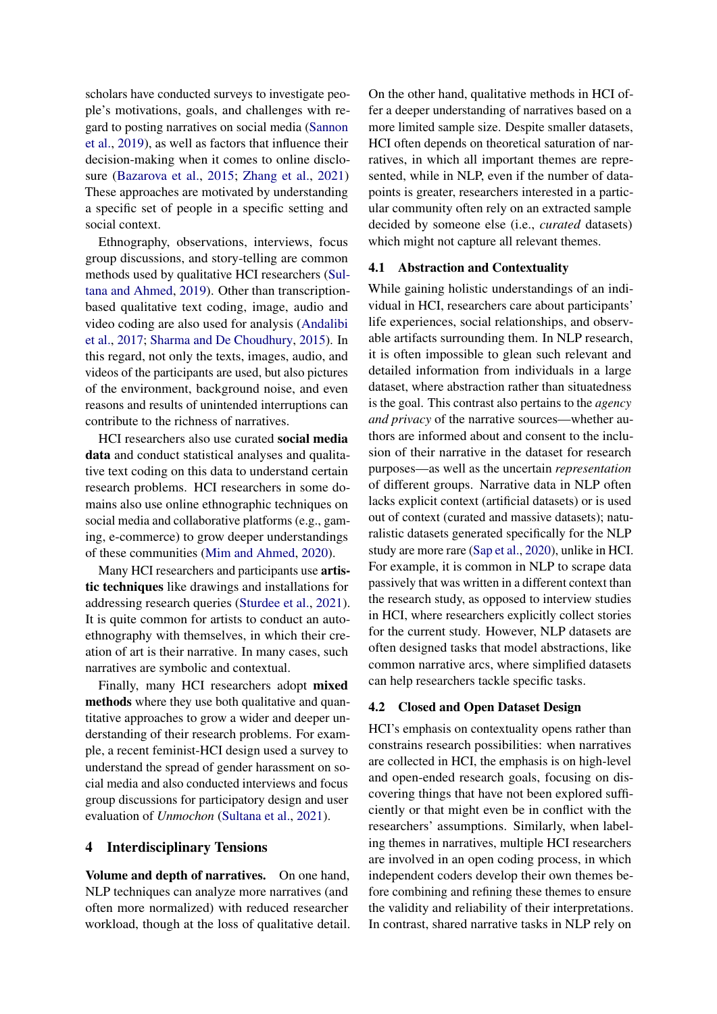scholars have conducted surveys to investigate people's motivations, goals, and challenges with regard to posting narratives on social media [\(Sannon](#page-6-14) [et al.,](#page-6-14) [2019\)](#page-6-14), as well as factors that influence their decision-making when it comes to online disclosure [\(Bazarova et al.,](#page-4-8) [2015;](#page-4-8) [Zhang et al.,](#page-7-4) [2021\)](#page-7-4) These approaches are motivated by understanding a specific set of people in a specific setting and social context.

Ethnography, observations, interviews, focus group discussions, and story-telling are common methods used by qualitative HCI researchers [\(Sul](#page-6-15)[tana and Ahmed,](#page-6-15) [2019\)](#page-6-15). Other than transcriptionbased qualitative text coding, image, audio and video coding are also used for analysis [\(Andalibi](#page-4-9) [et al.,](#page-4-9) [2017;](#page-4-9) [Sharma and De Choudhury,](#page-6-16) [2015\)](#page-6-16). In this regard, not only the texts, images, audio, and videos of the participants are used, but also pictures of the environment, background noise, and even reasons and results of unintended interruptions can contribute to the richness of narratives.

HCI researchers also use curated social media data and conduct statistical analyses and qualitative text coding on this data to understand certain research problems. HCI researchers in some domains also use online ethnographic techniques on social media and collaborative platforms (e.g., gaming, e-commerce) to grow deeper understandings of these communities [\(Mim and Ahmed,](#page-6-17) [2020\)](#page-6-17).

Many HCI researchers and participants use artistic techniques like drawings and installations for addressing research queries [\(Sturdee et al.,](#page-6-18) [2021\)](#page-6-18). It is quite common for artists to conduct an autoethnography with themselves, in which their creation of art is their narrative. In many cases, such narratives are symbolic and contextual.

Finally, many HCI researchers adopt mixed methods where they use both qualitative and quantitative approaches to grow a wider and deeper understanding of their research problems. For example, a recent feminist-HCI design used a survey to understand the spread of gender harassment on social media and also conducted interviews and focus group discussions for participatory design and user evaluation of *Unmochon* [\(Sultana et al.,](#page-6-19) [2021\)](#page-6-19).

#### 4 Interdisciplinary Tensions

Volume and depth of narratives. On one hand, NLP techniques can analyze more narratives (and often more normalized) with reduced researcher workload, though at the loss of qualitative detail. On the other hand, qualitative methods in HCI offer a deeper understanding of narratives based on a more limited sample size. Despite smaller datasets, HCI often depends on theoretical saturation of narratives, in which all important themes are represented, while in NLP, even if the number of datapoints is greater, researchers interested in a particular community often rely on an extracted sample decided by someone else (i.e., *curated* datasets) which might not capture all relevant themes.

#### 4.1 Abstraction and Contextuality

While gaining holistic understandings of an individual in HCI, researchers care about participants' life experiences, social relationships, and observable artifacts surrounding them. In NLP research, it is often impossible to glean such relevant and detailed information from individuals in a large dataset, where abstraction rather than situatedness is the goal. This contrast also pertains to the *agency and privacy* of the narrative sources—whether authors are informed about and consent to the inclusion of their narrative in the dataset for research purposes—as well as the uncertain *representation* of different groups. Narrative data in NLP often lacks explicit context (artificial datasets) or is used out of context (curated and massive datasets); naturalistic datasets generated specifically for the NLP study are more rare [\(Sap et al.,](#page-6-11) [2020\)](#page-6-11), unlike in HCI. For example, it is common in NLP to scrape data passively that was written in a different context than the research study, as opposed to interview studies in HCI, where researchers explicitly collect stories for the current study. However, NLP datasets are often designed tasks that model abstractions, like common narrative arcs, where simplified datasets can help researchers tackle specific tasks.

#### 4.2 Closed and Open Dataset Design

HCI's emphasis on contextuality opens rather than constrains research possibilities: when narratives are collected in HCI, the emphasis is on high-level and open-ended research goals, focusing on discovering things that have not been explored sufficiently or that might even be in conflict with the researchers' assumptions. Similarly, when labeling themes in narratives, multiple HCI researchers are involved in an open coding process, in which independent coders develop their own themes before combining and refining these themes to ensure the validity and reliability of their interpretations. In contrast, shared narrative tasks in NLP rely on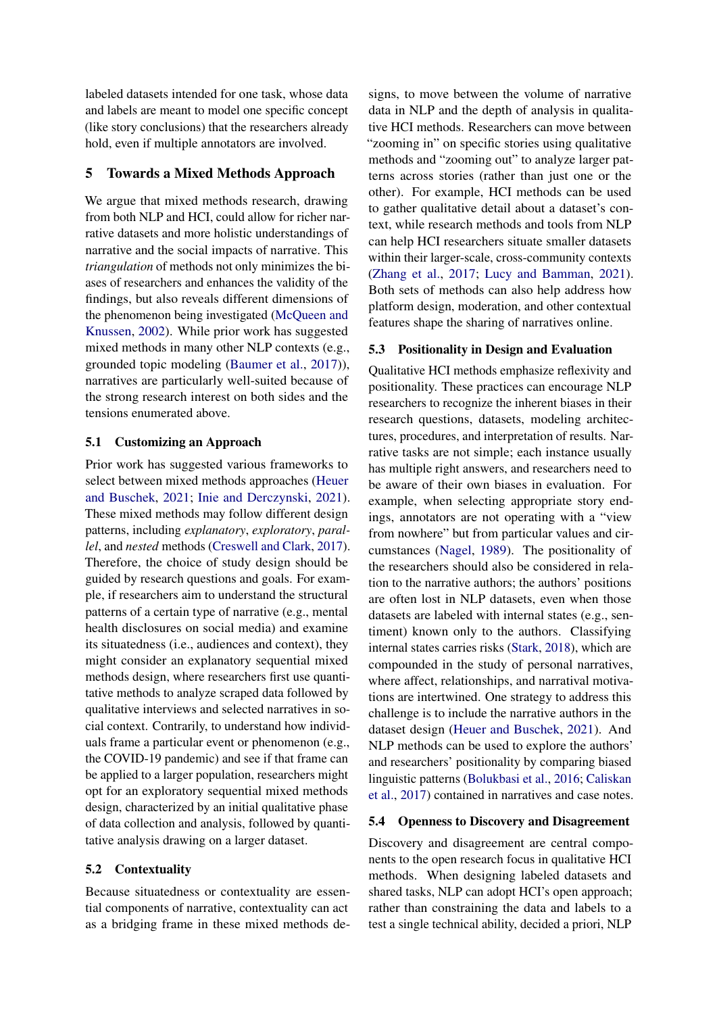labeled datasets intended for one task, whose data and labels are meant to model one specific concept (like story conclusions) that the researchers already hold, even if multiple annotators are involved.

### 5 Towards a Mixed Methods Approach

We argue that mixed methods research, drawing from both NLP and HCI, could allow for richer narrative datasets and more holistic understandings of narrative and the social impacts of narrative. This *triangulation* of methods not only minimizes the biases of researchers and enhances the validity of the findings, but also reveals different dimensions of the phenomenon being investigated [\(McQueen and](#page-6-20) [Knussen,](#page-6-20) [2002\)](#page-6-20). While prior work has suggested mixed methods in many other NLP contexts (e.g., grounded topic modeling [\(Baumer et al.,](#page-4-10) [2017\)](#page-4-10)), narratives are particularly well-suited because of the strong research interest on both sides and the tensions enumerated above.

### 5.1 Customizing an Approach

Prior work has suggested various frameworks to select between mixed methods approaches [\(Heuer](#page-5-16) [and Buschek,](#page-5-16) [2021;](#page-5-16) [Inie and Derczynski,](#page-5-17) [2021\)](#page-5-17). These mixed methods may follow different design patterns, including *explanatory*, *exploratory*, *parallel*, and *nested* methods [\(Creswell and Clark,](#page-5-18) [2017\)](#page-5-18). Therefore, the choice of study design should be guided by research questions and goals. For example, if researchers aim to understand the structural patterns of a certain type of narrative (e.g., mental health disclosures on social media) and examine its situatedness (i.e., audiences and context), they might consider an explanatory sequential mixed methods design, where researchers first use quantitative methods to analyze scraped data followed by qualitative interviews and selected narratives in social context. Contrarily, to understand how individuals frame a particular event or phenomenon (e.g., the COVID-19 pandemic) and see if that frame can be applied to a larger population, researchers might opt for an exploratory sequential mixed methods design, characterized by an initial qualitative phase of data collection and analysis, followed by quantitative analysis drawing on a larger dataset.

#### 5.2 Contextuality

Because situatedness or contextuality are essential components of narrative, contextuality can act as a bridging frame in these mixed methods designs, to move between the volume of narrative data in NLP and the depth of analysis in qualitative HCI methods. Researchers can move between "zooming in" on specific stories using qualitative methods and "zooming out" to analyze larger patterns across stories (rather than just one or the other). For example, HCI methods can be used to gather qualitative detail about a dataset's context, while research methods and tools from NLP can help HCI researchers situate smaller datasets within their larger-scale, cross-community contexts [\(Zhang et al.,](#page-7-5) [2017;](#page-7-5) [Lucy and Bamman,](#page-5-19) [2021\)](#page-5-19). Both sets of methods can also help address how platform design, moderation, and other contextual features shape the sharing of narratives online.

#### 5.3 Positionality in Design and Evaluation

Qualitative HCI methods emphasize reflexivity and positionality. These practices can encourage NLP researchers to recognize the inherent biases in their research questions, datasets, modeling architectures, procedures, and interpretation of results. Narrative tasks are not simple; each instance usually has multiple right answers, and researchers need to be aware of their own biases in evaluation. For example, when selecting appropriate story endings, annotators are not operating with a "view from nowhere" but from particular values and circumstances [\(Nagel,](#page-6-21) [1989\)](#page-6-21). The positionality of the researchers should also be considered in relation to the narrative authors; the authors' positions are often lost in NLP datasets, even when those datasets are labeled with internal states (e.g., sentiment) known only to the authors. Classifying internal states carries risks [\(Stark,](#page-6-22) [2018\)](#page-6-22), which are compounded in the study of personal narratives, where affect, relationships, and narratival motivations are intertwined. One strategy to address this challenge is to include the narrative authors in the dataset design [\(Heuer and Buschek,](#page-5-16) [2021\)](#page-5-16). And NLP methods can be used to explore the authors' and researchers' positionality by comparing biased linguistic patterns [\(Bolukbasi et al.,](#page-5-20) [2016;](#page-5-20) [Caliskan](#page-5-21) [et al.,](#page-5-21) [2017\)](#page-5-21) contained in narratives and case notes.

#### 5.4 Openness to Discovery and Disagreement

Discovery and disagreement are central components to the open research focus in qualitative HCI methods. When designing labeled datasets and shared tasks, NLP can adopt HCI's open approach; rather than constraining the data and labels to a test a single technical ability, decided a priori, NLP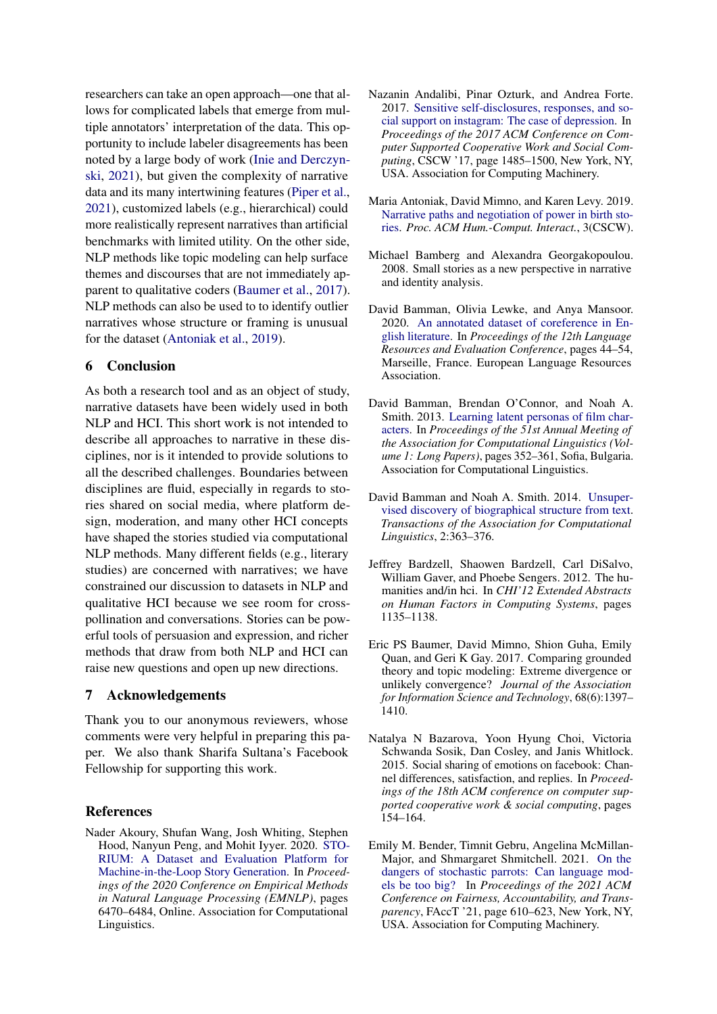researchers can take an open approach—one that allows for complicated labels that emerge from multiple annotators' interpretation of the data. This opportunity to include labeler disagreements has been noted by a large body of work [\(Inie and Derczyn](#page-5-17)[ski,](#page-5-17) [2021\)](#page-5-17), but given the complexity of narrative data and its many intertwining features [\(Piper et al.,](#page-6-4) [2021\)](#page-6-4), customized labels (e.g., hierarchical) could more realistically represent narratives than artificial benchmarks with limited utility. On the other side, NLP methods like topic modeling can help surface themes and discourses that are not immediately apparent to qualitative coders [\(Baumer et al.,](#page-4-10) [2017\)](#page-4-10). NLP methods can also be used to to identify outlier narratives whose structure or framing is unusual for the dataset [\(Antoniak et al.,](#page-4-5) [2019\)](#page-4-5).

## 6 Conclusion

As both a research tool and as an object of study, narrative datasets have been widely used in both NLP and HCI. This short work is not intended to describe all approaches to narrative in these disciplines, nor is it intended to provide solutions to all the described challenges. Boundaries between disciplines are fluid, especially in regards to stories shared on social media, where platform design, moderation, and many other HCI concepts have shaped the stories studied via computational NLP methods. Many different fields (e.g., literary studies) are concerned with narratives; we have constrained our discussion to datasets in NLP and qualitative HCI because we see room for crosspollination and conversations. Stories can be powerful tools of persuasion and expression, and richer methods that draw from both NLP and HCI can raise new questions and open up new directions.

### 7 Acknowledgements

Thank you to our anonymous reviewers, whose comments were very helpful in preparing this paper. We also thank Sharifa Sultana's Facebook Fellowship for supporting this work.

#### References

<span id="page-4-3"></span>Nader Akoury, Shufan Wang, Josh Whiting, Stephen Hood, Nanyun Peng, and Mohit Iyyer. 2020. [STO-](https://doi.org/10.18653/v1/2020.emnlp-main.525)[RIUM: A Dataset and Evaluation Platform for](https://doi.org/10.18653/v1/2020.emnlp-main.525) [Machine-in-the-Loop Story Generation.](https://doi.org/10.18653/v1/2020.emnlp-main.525) In *Proceedings of the 2020 Conference on Empirical Methods in Natural Language Processing (EMNLP)*, pages 6470–6484, Online. Association for Computational Linguistics.

- <span id="page-4-9"></span>Nazanin Andalibi, Pinar Ozturk, and Andrea Forte. 2017. [Sensitive self-disclosures, responses, and so](https://doi.org/10.1145/2998181.2998243)[cial support on instagram: The case of depression.](https://doi.org/10.1145/2998181.2998243) In *Proceedings of the 2017 ACM Conference on Computer Supported Cooperative Work and Social Computing*, CSCW '17, page 1485–1500, New York, NY, USA. Association for Computing Machinery.
- <span id="page-4-5"></span>Maria Antoniak, David Mimno, and Karen Levy. 2019. [Narrative paths and negotiation of power in birth sto](https://doi.org/10.1145/3359190)[ries.](https://doi.org/10.1145/3359190) *Proc. ACM Hum.-Comput. Interact.*, 3(CSCW).
- <span id="page-4-0"></span>Michael Bamberg and Alexandra Georgakopoulou. 2008. Small stories as a new perspective in narrative and identity analysis.
- <span id="page-4-6"></span>David Bamman, Olivia Lewke, and Anya Mansoor. 2020. [An annotated dataset of coreference in En](https://aclanthology.org/2020.lrec-1.6)[glish literature.](https://aclanthology.org/2020.lrec-1.6) In *Proceedings of the 12th Language Resources and Evaluation Conference*, pages 44–54, Marseille, France. European Language Resources Association.
- <span id="page-4-2"></span>David Bamman, Brendan O'Connor, and Noah A. Smith. 2013. [Learning latent personas of film char](https://www.aclweb.org/anthology/P13-1035)[acters.](https://www.aclweb.org/anthology/P13-1035) In *Proceedings of the 51st Annual Meeting of the Association for Computational Linguistics (Volume 1: Long Papers)*, pages 352–361, Sofia, Bulgaria. Association for Computational Linguistics.
- <span id="page-4-4"></span>David Bamman and Noah A. Smith. 2014. [Unsuper](https://doi.org/10.1162/tacl_a_00189)[vised discovery of biographical structure from text.](https://doi.org/10.1162/tacl_a_00189) *Transactions of the Association for Computational Linguistics*, 2:363–376.
- <span id="page-4-1"></span>Jeffrey Bardzell, Shaowen Bardzell, Carl DiSalvo, William Gaver, and Phoebe Sengers. 2012. The humanities and/in hci. In *CHI'12 Extended Abstracts on Human Factors in Computing Systems*, pages 1135–1138.
- <span id="page-4-10"></span>Eric PS Baumer, David Mimno, Shion Guha, Emily Quan, and Geri K Gay. 2017. Comparing grounded theory and topic modeling: Extreme divergence or unlikely convergence? *Journal of the Association for Information Science and Technology*, 68(6):1397– 1410.
- <span id="page-4-8"></span>Natalya N Bazarova, Yoon Hyung Choi, Victoria Schwanda Sosik, Dan Cosley, and Janis Whitlock. 2015. Social sharing of emotions on facebook: Channel differences, satisfaction, and replies. In *Proceedings of the 18th ACM conference on computer supported cooperative work & social computing*, pages 154–164.
- <span id="page-4-7"></span>Emily M. Bender, Timnit Gebru, Angelina McMillan-Major, and Shmargaret Shmitchell. 2021. [On the](https://doi.org/10.1145/3442188.3445922) [dangers of stochastic parrots: Can language mod](https://doi.org/10.1145/3442188.3445922)[els be too big?](https://doi.org/10.1145/3442188.3445922) In *Proceedings of the 2021 ACM Conference on Fairness, Accountability, and Transparency*, FAccT '21, page 610–623, New York, NY, USA. Association for Computing Machinery.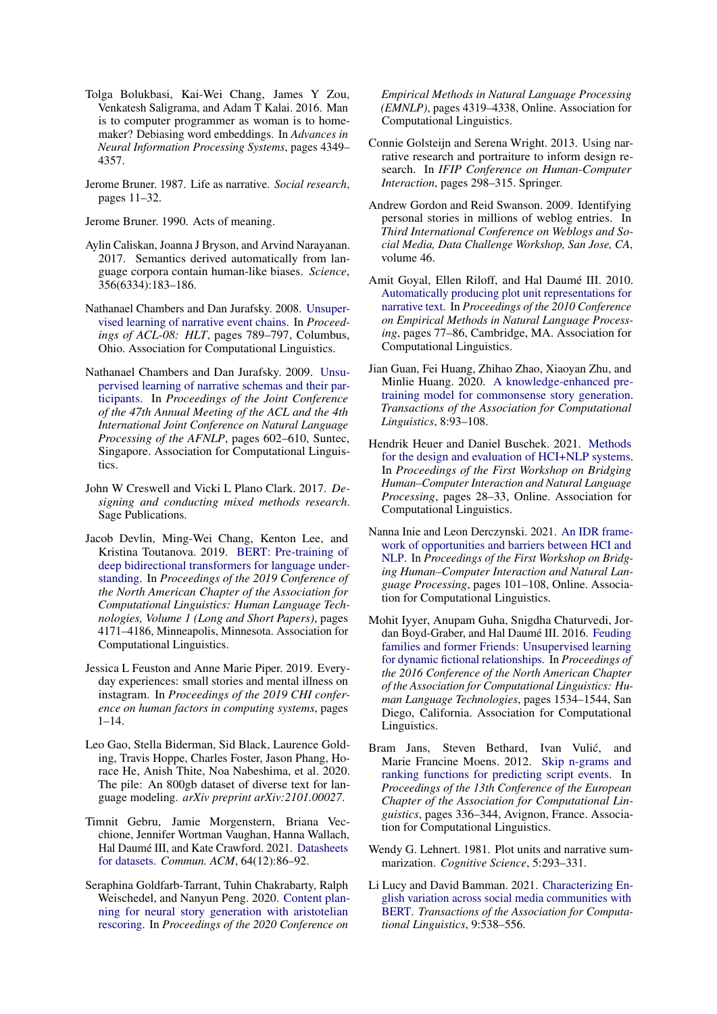- <span id="page-5-20"></span>Tolga Bolukbasi, Kai-Wei Chang, James Y Zou, Venkatesh Saligrama, and Adam T Kalai. 2016. Man is to computer programmer as woman is to homemaker? Debiasing word embeddings. In *Advances in Neural Information Processing Systems*, pages 4349– 4357.
- <span id="page-5-1"></span>Jerome Bruner. 1987. Life as narrative. *Social research*, pages 11–32.

<span id="page-5-14"></span>Jerome Bruner. 1990. Acts of meaning.

- <span id="page-5-21"></span>Aylin Caliskan, Joanna J Bryson, and Arvind Narayanan. 2017. Semantics derived automatically from language corpora contain human-like biases. *Science*, 356(6334):183–186.
- <span id="page-5-3"></span>Nathanael Chambers and Dan Jurafsky. 2008. [Unsuper](https://www.aclweb.org/anthology/P08-1090)[vised learning of narrative event chains.](https://www.aclweb.org/anthology/P08-1090) In *Proceedings of ACL-08: HLT*, pages 789–797, Columbus, Ohio. Association for Computational Linguistics.
- <span id="page-5-4"></span>Nathanael Chambers and Dan Jurafsky. 2009. [Unsu](https://www.aclweb.org/anthology/P09-1068)[pervised learning of narrative schemas and their par](https://www.aclweb.org/anthology/P09-1068)[ticipants.](https://www.aclweb.org/anthology/P09-1068) In *Proceedings of the Joint Conference of the 47th Annual Meeting of the ACL and the 4th International Joint Conference on Natural Language Processing of the AFNLP*, pages 602–610, Suntec, Singapore. Association for Computational Linguistics.
- <span id="page-5-18"></span>John W Creswell and Vicki L Plano Clark. 2017. *Designing and conducting mixed methods research*. Sage Publications.
- <span id="page-5-11"></span>Jacob Devlin, Ming-Wei Chang, Kenton Lee, and Kristina Toutanova. 2019. [BERT: Pre-training of](https://doi.org/10.18653/v1/N19-1423) [deep bidirectional transformers for language under](https://doi.org/10.18653/v1/N19-1423)[standing.](https://doi.org/10.18653/v1/N19-1423) In *Proceedings of the 2019 Conference of the North American Chapter of the Association for Computational Linguistics: Human Language Technologies, Volume 1 (Long and Short Papers)*, pages 4171–4186, Minneapolis, Minnesota. Association for Computational Linguistics.
- <span id="page-5-15"></span>Jessica L Feuston and Anne Marie Piper. 2019. Everyday experiences: small stories and mental illness on instagram. In *Proceedings of the 2019 CHI conference on human factors in computing systems*, pages  $1-14.$
- <span id="page-5-12"></span>Leo Gao, Stella Biderman, Sid Black, Laurence Golding, Travis Hoppe, Charles Foster, Jason Phang, Horace He, Anish Thite, Noa Nabeshima, et al. 2020. The pile: An 800gb dataset of diverse text for language modeling. *arXiv preprint arXiv:2101.00027*.
- <span id="page-5-13"></span>Timnit Gebru, Jamie Morgenstern, Briana Vecchione, Jennifer Wortman Vaughan, Hanna Wallach, Hal Daumé III, and Kate Crawford. 2021. [Datasheets](https://doi.org/10.1145/3458723) [for datasets.](https://doi.org/10.1145/3458723) *Commun. ACM*, 64(12):86–92.
- <span id="page-5-7"></span>Seraphina Goldfarb-Tarrant, Tuhin Chakrabarty, Ralph Weischedel, and Nanyun Peng. 2020. [Content plan](https://doi.org/10.18653/v1/2020.emnlp-main.351)[ning for neural story generation with aristotelian](https://doi.org/10.18653/v1/2020.emnlp-main.351) [rescoring.](https://doi.org/10.18653/v1/2020.emnlp-main.351) In *Proceedings of the 2020 Conference on*

*Empirical Methods in Natural Language Processing (EMNLP)*, pages 4319–4338, Online. Association for Computational Linguistics.

- <span id="page-5-0"></span>Connie Golsteijn and Serena Wright. 2013. Using narrative research and portraiture to inform design research. In *IFIP Conference on Human-Computer Interaction*, pages 298–315. Springer.
- <span id="page-5-10"></span>Andrew Gordon and Reid Swanson. 2009. Identifying personal stories in millions of weblog entries. In *Third International Conference on Weblogs and Social Media, Data Challenge Workshop, San Jose, CA*, volume 46.
- <span id="page-5-5"></span>Amit Goyal, Ellen Riloff, and Hal Daumé III. 2010. [Automatically producing plot unit representations for](https://www.aclweb.org/anthology/D10-1008) [narrative text.](https://www.aclweb.org/anthology/D10-1008) In *Proceedings of the 2010 Conference on Empirical Methods in Natural Language Processing*, pages 77–86, Cambridge, MA. Association for Computational Linguistics.
- <span id="page-5-8"></span>Jian Guan, Fei Huang, Zhihao Zhao, Xiaoyan Zhu, and Minlie Huang. 2020. [A knowledge-enhanced pre](https://doi.org/10.1162/tacl_a_00302)[training model for commonsense story generation.](https://doi.org/10.1162/tacl_a_00302) *Transactions of the Association for Computational Linguistics*, 8:93–108.
- <span id="page-5-16"></span>Hendrik Heuer and Daniel Buschek. 2021. [Methods](https://aclanthology.org/2021.hcinlp-1.5) [for the design and evaluation of HCI+NLP systems.](https://aclanthology.org/2021.hcinlp-1.5) In *Proceedings of the First Workshop on Bridging Human–Computer Interaction and Natural Language Processing*, pages 28–33, Online. Association for Computational Linguistics.
- <span id="page-5-17"></span>Nanna Inie and Leon Derczynski. 2021. [An IDR frame](https://aclanthology.org/2021.hcinlp-1.16)[work of opportunities and barriers between HCI and](https://aclanthology.org/2021.hcinlp-1.16) [NLP.](https://aclanthology.org/2021.hcinlp-1.16) In *Proceedings of the First Workshop on Bridging Human–Computer Interaction and Natural Language Processing*, pages 101–108, Online. Association for Computational Linguistics.
- <span id="page-5-6"></span>Mohit Iyyer, Anupam Guha, Snigdha Chaturvedi, Jordan Boyd-Graber, and Hal Daumé III. 2016. [Feuding](https://doi.org/10.18653/v1/N16-1180) [families and former Friends: Unsupervised learning](https://doi.org/10.18653/v1/N16-1180) [for dynamic fictional relationships.](https://doi.org/10.18653/v1/N16-1180) In *Proceedings of the 2016 Conference of the North American Chapter of the Association for Computational Linguistics: Human Language Technologies*, pages 1534–1544, San Diego, California. Association for Computational Linguistics.
- <span id="page-5-9"></span>Bram Jans, Steven Bethard, Ivan Vulic, and ´ Marie Francine Moens. 2012. [Skip n-grams and](https://www.aclweb.org/anthology/E12-1034) [ranking functions for predicting script events.](https://www.aclweb.org/anthology/E12-1034) In *Proceedings of the 13th Conference of the European Chapter of the Association for Computational Linguistics*, pages 336–344, Avignon, France. Association for Computational Linguistics.
- <span id="page-5-2"></span>Wendy G. Lehnert. 1981. Plot units and narrative summarization. *Cognitive Science*, 5:293–331.
- <span id="page-5-19"></span>Li Lucy and David Bamman. 2021. [Characterizing En](https://doi.org/10.1162/tacl_a_00383)[glish variation across social media communities with](https://doi.org/10.1162/tacl_a_00383) [BERT.](https://doi.org/10.1162/tacl_a_00383) *Transactions of the Association for Computational Linguistics*, 9:538–556.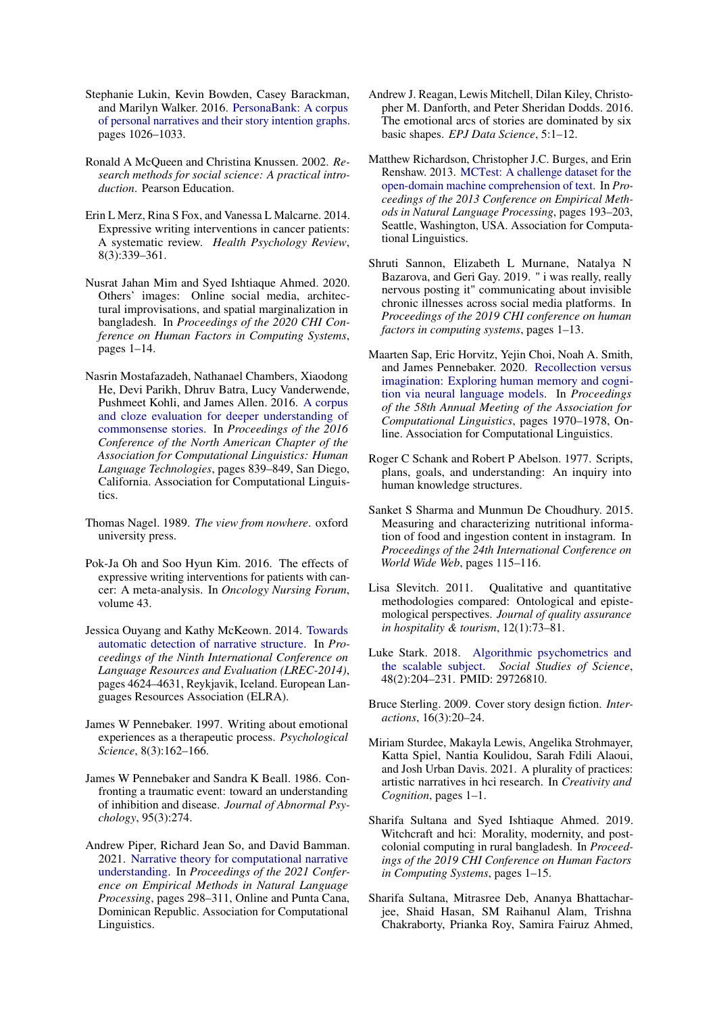- <span id="page-6-7"></span>Stephanie Lukin, Kevin Bowden, Casey Barackman, and Marilyn Walker. 2016. [PersonaBank: A corpus](https://www.aclweb.org/anthology/L16-1163) [of personal narratives and their story intention graphs.](https://www.aclweb.org/anthology/L16-1163) pages 1026–1033.
- <span id="page-6-20"></span>Ronald A McQueen and Christina Knussen. 2002. *Research methods for social science: A practical introduction*. Pearson Education.
- <span id="page-6-2"></span>Erin L Merz, Rina S Fox, and Vanessa L Malcarne. 2014. Expressive writing interventions in cancer patients: A systematic review. *Health Psychology Review*, 8(3):339–361.
- <span id="page-6-17"></span>Nusrat Jahan Mim and Syed Ishtiaque Ahmed. 2020. Others' images: Online social media, architectural improvisations, and spatial marginalization in bangladesh. In *Proceedings of the 2020 CHI Conference on Human Factors in Computing Systems*, pages 1–14.
- <span id="page-6-9"></span>Nasrin Mostafazadeh, Nathanael Chambers, Xiaodong He, Devi Parikh, Dhruv Batra, Lucy Vanderwende, Pushmeet Kohli, and James Allen. 2016. [A corpus](https://doi.org/10.18653/v1/N16-1098) [and cloze evaluation for deeper understanding of](https://doi.org/10.18653/v1/N16-1098) [commonsense stories.](https://doi.org/10.18653/v1/N16-1098) In *Proceedings of the 2016 Conference of the North American Chapter of the Association for Computational Linguistics: Human Language Technologies*, pages 839–849, San Diego, California. Association for Computational Linguistics.
- <span id="page-6-21"></span>Thomas Nagel. 1989. *The view from nowhere*. oxford university press.
- <span id="page-6-3"></span>Pok-Ja Oh and Soo Hyun Kim. 2016. The effects of expressive writing interventions for patients with cancer: A meta-analysis. In *Oncology Nursing Forum*, volume 43.
- <span id="page-6-10"></span>Jessica Ouyang and Kathy McKeown. 2014. [Towards](http://www.lrec-conf.org/proceedings/lrec2014/pdf/1154_Paper.pdf) [automatic detection of narrative structure.](http://www.lrec-conf.org/proceedings/lrec2014/pdf/1154_Paper.pdf) In *Proceedings of the Ninth International Conference on Language Resources and Evaluation (LREC-2014)*, pages 4624–4631, Reykjavik, Iceland. European Languages Resources Association (ELRA).
- <span id="page-6-1"></span>James W Pennebaker. 1997. Writing about emotional experiences as a therapeutic process. *Psychological Science*, 8(3):162–166.
- <span id="page-6-0"></span>James W Pennebaker and Sandra K Beall. 1986. Confronting a traumatic event: toward an understanding of inhibition and disease. *Journal of Abnormal Psychology*, 95(3):274.
- <span id="page-6-4"></span>Andrew Piper, Richard Jean So, and David Bamman. 2021. [Narrative theory for computational narrative](https://doi.org/10.18653/v1/2021.emnlp-main.26) [understanding.](https://doi.org/10.18653/v1/2021.emnlp-main.26) In *Proceedings of the 2021 Conference on Empirical Methods in Natural Language Processing*, pages 298–311, Online and Punta Cana, Dominican Republic. Association for Computational Linguistics.
- <span id="page-6-6"></span>Andrew J. Reagan, Lewis Mitchell, Dilan Kiley, Christopher M. Danforth, and Peter Sheridan Dodds. 2016. The emotional arcs of stories are dominated by six basic shapes. *EPJ Data Science*, 5:1–12.
- <span id="page-6-8"></span>Matthew Richardson, Christopher J.C. Burges, and Erin Renshaw. 2013. [MCTest: A challenge dataset for the](https://aclanthology.org/D13-1020) [open-domain machine comprehension of text.](https://aclanthology.org/D13-1020) In *Proceedings of the 2013 Conference on Empirical Methods in Natural Language Processing*, pages 193–203, Seattle, Washington, USA. Association for Computational Linguistics.
- <span id="page-6-14"></span>Shruti Sannon, Elizabeth L Murnane, Natalya N Bazarova, and Geri Gay. 2019. " i was really, really nervous posting it" communicating about invisible chronic illnesses across social media platforms. In *Proceedings of the 2019 CHI conference on human factors in computing systems*, pages 1–13.
- <span id="page-6-11"></span>Maarten Sap, Eric Horvitz, Yejin Choi, Noah A. Smith, and James Pennebaker. 2020. [Recollection versus](https://doi.org/10.18653/v1/2020.acl-main.178) [imagination: Exploring human memory and cogni](https://doi.org/10.18653/v1/2020.acl-main.178)[tion via neural language models.](https://doi.org/10.18653/v1/2020.acl-main.178) In *Proceedings of the 58th Annual Meeting of the Association for Computational Linguistics*, pages 1970–1978, Online. Association for Computational Linguistics.
- <span id="page-6-5"></span>Roger C Schank and Robert P Abelson. 1977. Scripts, plans, goals, and understanding: An inquiry into human knowledge structures.
- <span id="page-6-16"></span>Sanket S Sharma and Munmun De Choudhury. 2015. Measuring and characterizing nutritional information of food and ingestion content in instagram. In *Proceedings of the 24th International Conference on World Wide Web*, pages 115–116.
- <span id="page-6-13"></span>Lisa Slevitch. 2011. Qualitative and quantitative methodologies compared: Ontological and epistemological perspectives. *Journal of quality assurance in hospitality & tourism*, 12(1):73–81.
- <span id="page-6-22"></span>Luke Stark. 2018. [Algorithmic psychometrics and](https://doi.org/10.1177/0306312718772094) [the scalable subject.](https://doi.org/10.1177/0306312718772094) *Social Studies of Science*, 48(2):204–231. PMID: 29726810.
- <span id="page-6-12"></span>Bruce Sterling. 2009. Cover story design fiction. *Interactions*, 16(3):20–24.
- <span id="page-6-18"></span>Miriam Sturdee, Makayla Lewis, Angelika Strohmayer, Katta Spiel, Nantia Koulidou, Sarah Fdili Alaoui, and Josh Urban Davis. 2021. A plurality of practices: artistic narratives in hci research. In *Creativity and Cognition*, pages 1–1.
- <span id="page-6-15"></span>Sharifa Sultana and Syed Ishtiaque Ahmed. 2019. Witchcraft and hci: Morality, modernity, and postcolonial computing in rural bangladesh. In *Proceedings of the 2019 CHI Conference on Human Factors in Computing Systems*, pages 1–15.
- <span id="page-6-19"></span>Sharifa Sultana, Mitrasree Deb, Ananya Bhattacharjee, Shaid Hasan, SM Raihanul Alam, Trishna Chakraborty, Prianka Roy, Samira Fairuz Ahmed,